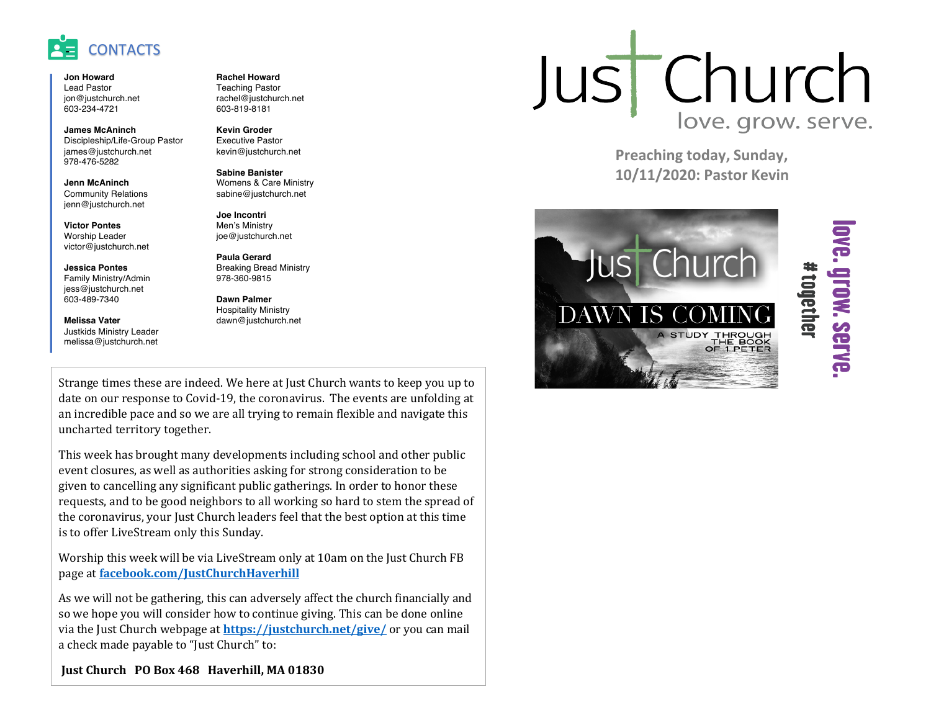

**Jon Howard** Lead Pastor jon@justchurch.net 603-234-4721

**James McAninch** Discipleship/Life-Group Pastor james@justchurch.net 978-476-5282

**Jenn McAninch** Community Relations jenn@justchurch.net

**Victor Pontes** Worship Leader victor@justchurch.net

**Jessica Pontes** Family Ministry/Admin jess@justchurch.net 603-489-7340

**Melissa Vater** Justkids Ministry Leader melissa@justchurch.net **Rachel Howard** Teaching Pastor rachel@justchurch.net 603-819-8181

**Kevin Groder** Executive Pastor kevin@justchurch.net

**Sabine Banister** Womens & Care Ministry sabine@justchurch.net

**Joe Incontri** Men's Ministry joe@justchurch.net

**Paula Gerard** Breaking Bread Ministry 978-360-9815

**Dawn Palmer** Hospitality Ministry dawn@justchurch.net

Strange times these are indeed. We here at Just Church wants to keep you up to date on our response to Covid-19, the coronavirus. The events are unfolding at an incredible pace and so we are all trying to remain flexible and navigate this uncharted territory together.

This week has brought many developments including school and other public event closures, as well as authorities asking for strong consideration to be given to cancelling any significant public gatherings. In order to honor these requests, and to be good neighbors to all working so hard to stem the spread of the coronavirus, your Just Church leaders feel that the best option at this time is to offer LiveStream only this Sunday.

Worship this week will be via LiveStream only at 10am on the Just Church FB page at **facebook.com/JustChurchHaverhill**

As we will not be gathering, this can adversely affect the church financially and so we hope you will consider how to continue giving. This can be done online via the Just Church webpage at **https://justchurch.net/give/** or you can mail a check made payable to "Just Church" to:

**Just Church PO Box 468 Haverhill, MA 01830** 

## Just Church love. grow. serve.

**Preaching today, Sunday, 10/11/2020: Pastor Kevin**



# **OVE. grow. SEFVE** #together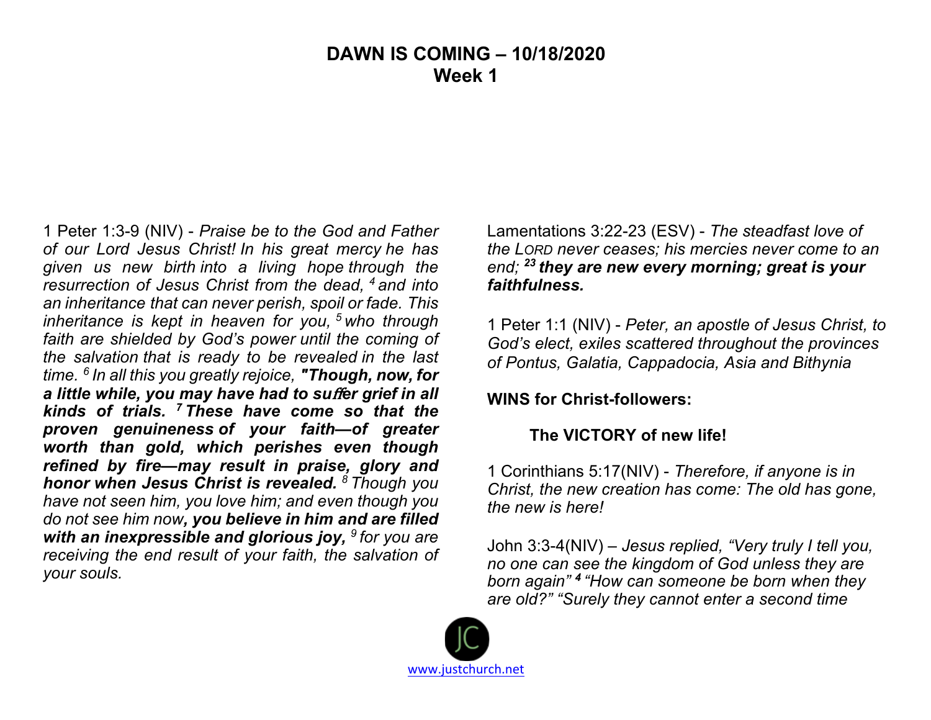### **DAWN IS COMING – 10/18/2020 Week 1**

1 Peter 1:3-9 (NIV) - *Praise be to the God and Father of our Lord Jesus Christ! In his great mercy he has given us new birth into a living hope through the resurrection of Jesus Christ from the dead, <sup>4</sup> and into an inheritance that can never perish, spoil or fade. This inheritance is kept in heaven for you, <sup>5</sup> who through faith are shielded by God's power until the coming of the salvation that is ready to be revealed in the last time. <sup>6</sup> In all this you greatly rejoice, "Though, now, for*  a little while, you may have had to suffer grief in all *kinds of trials. 7 These have come so that the proven genuineness of your faith—of greater worth than gold, which perishes even though refined by fire—may result in praise, glory and honor when Jesus Christ is revealed. <sup>8</sup> Though you have not seen him, you love him; and even though you do not see him now, you believe in him and are filled with an inexpressible and glorious joy, <sup>9</sup> for you are receiving the end result of your faith, the salvation of your souls.*

Lamentations 3:22-23 (ESV) - *The steadfast love of the LORD never ceases; his mercies never come to an end; <sup>23</sup> they are new every morning; great is your faithfulness.*

1 Peter 1:1 (NIV) - *Peter, an apostle of Jesus Christ, to God's elect, exiles scattered throughout the provinces of Pontus, Galatia, Cappadocia, Asia and Bithynia*

#### **WINS for Christ-followers:**

#### **The VICTORY of new life!**

1 Corinthians 5:17(NIV) - *Therefore, if anyone is in Christ, the new creation has come: The old has gone, the new is here!*

John 3:3-4(NIV) – *Jesus replied, "Very truly I tell you, no one can see the kingdom of God unless they are born again" <sup>4</sup> "How can someone be born when they are old?" "Surely they cannot enter a second time*